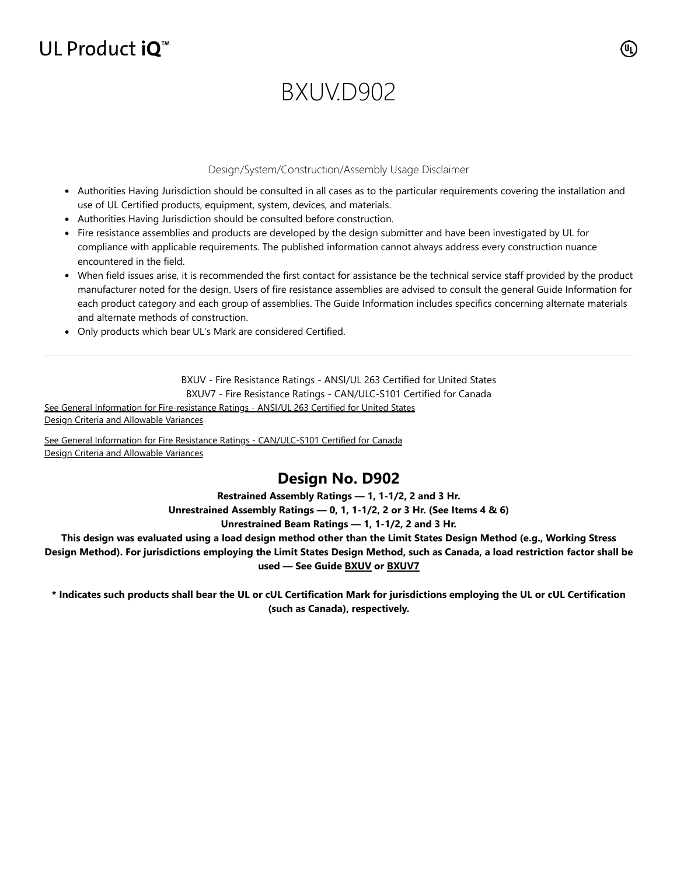## UL Product iQ<sup>™</sup>

# BXUVD902

#### Design/System/Construction/Assembly Usage Disclaimer

- Authorities Having Jurisdiction should be consulted in all cases as to the particular requirements covering the installation and use of UL Certified products, equipment, system, devices, and materials.
- Authorities Having Jurisdiction should be consulted before construction.
- Fire resistance assemblies and products are developed by the design submitter and have been investigated by UL for compliance with applicable requirements. The published information cannot always address every construction nuance encountered in the field.
- When field issues arise, it is recommended the first contact for assistance be the technical service staff provided by the product manufacturer noted for the design. Users of fire resistance assemblies are advised to consult the general Guide Information for each product category and each group of assemblies. The Guide Information includes specifics concerning alternate materials and alternate methods of construction.
- Only products which bear UL's Mark are considered Certified.

BXUV - Fire Resistance Ratings - ANSI/UL 263 Certified for United States

BXUV7 - Fire Resistance Ratings - CAN/ULC-S101 Certified for Canada

[See General Information for Fire-resistance Ratings - ANSI/UL 263 Certified for United States](https://iq.ulprospector.com/en/cgi-bin/XYV/template/LISEXT/1FRAME/showpage.html?name=BXUV.GuideInfo&ccnshorttitle=Fire-resistance+Ratings+-+ANSI/UL+263&objid=1074327030&cfgid=1073741824&version=versionless&parent_id=1073984818&sequence=1) Design Criteria and Allowable Variances

[See General Information for Fire Resistance Ratings - CAN/ULC-S101 Certified for Canada](https://iq.ulprospector.com/en/cgi-bin/XYV/template/LISEXT/1FRAME/showpage.html?name=BXUV7.GuideInfo&ccnshorttitle=Fire+Resistance+Ratings+-+CAN/ULC-S101+Certified+for+Canada&objid=1074205658&cfgid=1073741824&version=versionless&parent_id=1073984820&sequence=1) Design Criteria and Allowable Variances

### **Design No. D902**

**Restrained Assembly Ratings — 1, 1-1/2, 2 and 3 Hr.**

**Unrestrained Assembly Ratings — 0, 1, 1-1/2, 2 or 3 Hr. (See Items 4 & 6) Unrestrained Beam Ratings — 1, 1-1/2, 2 and 3 Hr.**

**This design was evaluated using a load design method other than the Limit States Design Method (e.g., Working Stress Design Method). For jurisdictions employing the Limit States Design Method, such as Canada, a load restriction factor shall be used — See Guide [BXUV](https://database.ul.com/cgi-bin/XYV/template/LISEXT/1FRAME/showpage.html?name=BXUV.GuideInfo&ccnshorttitle=Fire-resistance+Ratings+-+ANSI/UL+263&objid=1074327030&cfgid=1073741824&version=versionless&parent_id=1073984818&sequence=1) or [BXUV7](https://database.ul.com/cgi-bin/XYV/template/LISEXT/1FRAME/showpage.html?name=BXUV7.GuideInfo&ccnshorttitle=Fire+Resistance+Ratings+-+CAN/ULC-S101M+Certified+for+Canada&objid=1074205658&cfgid=1073741824&version=versionless&parent_id=1073984820&sequence=1)**

**\* Indicates such products shall bear the UL or cUL Certification Mark for jurisdictions employing the UL or cUL Certification (such as Canada), respectively.**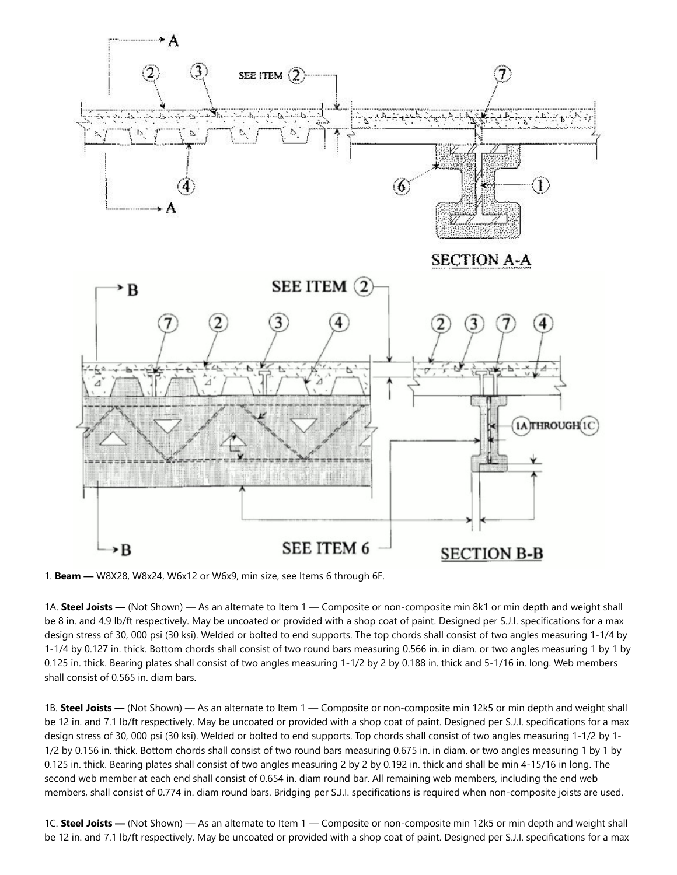

1. **Beam —** W8X28, W8x24, W6x12 or W6x9, min size, see Items 6 through 6F.

1A. **Steel Joists —** (Not Shown) — As an alternate to Item 1 — Composite or non-composite min 8k1 or min depth and weight shall be 8 in. and 4.9 lb/ft respectively. May be uncoated or provided with a shop coat of paint. Designed per S.J.I. specifications for a max design stress of 30, 000 psi (30 ksi). Welded or bolted to end supports. The top chords shall consist of two angles measuring 1-1/4 by 1-1/4 by 0.127 in. thick. Bottom chords shall consist of two round bars measuring 0.566 in. in diam. or two angles measuring 1 by 1 by 0.125 in. thick. Bearing plates shall consist of two angles measuring 1-1/2 by 2 by 0.188 in. thick and 5-1/16 in. long. Web members shall consist of 0.565 in. diam bars.

1B. **Steel Joists —** (Not Shown) — As an alternate to Item 1 — Composite or non-composite min 12k5 or min depth and weight shall be 12 in. and 7.1 lb/ft respectively. May be uncoated or provided with a shop coat of paint. Designed per S.J.I. specifications for a max design stress of 30, 000 psi (30 ksi). Welded or bolted to end supports. Top chords shall consist of two angles measuring 1-1/2 by 1- 1/2 by 0.156 in. thick. Bottom chords shall consist of two round bars measuring 0.675 in. in diam. or two angles measuring 1 by 1 by 0.125 in. thick. Bearing plates shall consist of two angles measuring 2 by 2 by 0.192 in. thick and shall be min 4-15/16 in long. The second web member at each end shall consist of 0.654 in. diam round bar. All remaining web members, including the end web members, shall consist of 0.774 in. diam round bars. Bridging per S.J.I. specifications is required when non-composite joists are used.

1C. **Steel Joists —** (Not Shown) — As an alternate to Item 1 — Composite or non-composite min 12k5 or min depth and weight shall be 12 in. and 7.1 lb/ft respectively. May be uncoated or provided with a shop coat of paint. Designed per S.J.I. specifications for a max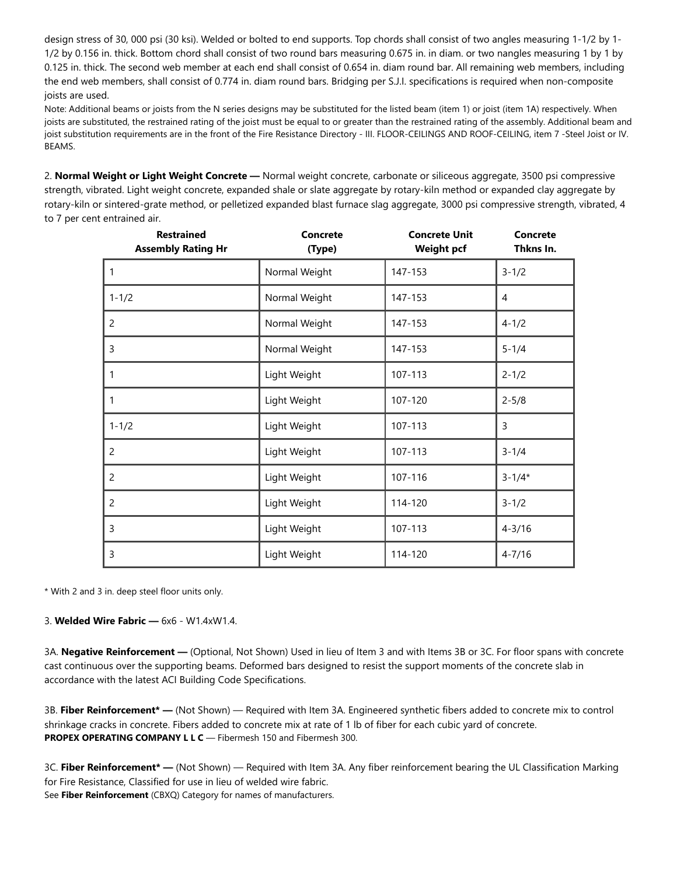design stress of 30, 000 psi (30 ksi). Welded or bolted to end supports. Top chords shall consist of two angles measuring 1-1/2 by 1- 1/2 by 0.156 in. thick. Bottom chord shall consist of two round bars measuring 0.675 in. in diam. or two nangles measuring 1 by 1 by 0.125 in. thick. The second web member at each end shall consist of 0.654 in. diam round bar. All remaining web members, including the end web members, shall consist of 0.774 in. diam round bars. Bridging per S.J.I. specifications is required when non-composite joists are used.

Note: Additional beams or joists from the N series designs may be substituted for the listed beam (item 1) or joist (item 1A) respectively. When joists are substituted, the restrained rating of the joist must be equal to or greater than the restrained rating of the assembly. Additional beam and joist substitution requirements are in the front of the Fire Resistance Directory - III. FLOOR-CEILINGS AND ROOF-CEILING, item 7 -Steel Joist or IV. BEAMS.

2. **Normal Weight or Light Weight Concrete —** Normal weight concrete, carbonate or siliceous aggregate, 3500 psi compressive strength, vibrated. Light weight concrete, expanded shale or slate aggregate by rotary-kiln method or expanded clay aggregate by rotary-kiln or sintered-grate method, or pelletized expanded blast furnace slag aggregate, 3000 psi compressive strength, vibrated, 4 to 7 per cent entrained air.

| <b>Restrained</b><br><b>Assembly Rating Hr</b> | <b>Concrete</b><br>(Type) | <b>Concrete Unit</b><br><b>Weight pcf</b> | <b>Concrete</b><br>Thkns In. |  |
|------------------------------------------------|---------------------------|-------------------------------------------|------------------------------|--|
| 1                                              | Normal Weight             | 147-153                                   | $3 - 1/2$                    |  |
| $1 - 1/2$                                      | Normal Weight             | 147-153                                   | $\overline{4}$               |  |
| 2                                              | Normal Weight             | 147-153                                   | $4 - 1/2$                    |  |
| 3                                              | Normal Weight             | 147-153                                   | $5 - 1/4$                    |  |
| $\mathbf{1}$                                   | Light Weight              | 107-113                                   | $2 - 1/2$                    |  |
| 1                                              | Light Weight              | 107-120                                   | $2 - 5/8$                    |  |
| $1 - 1/2$                                      | Light Weight              | 107-113                                   | 3                            |  |
| 2                                              | Light Weight              | 107-113                                   | $3 - 1/4$                    |  |
| 2                                              | Light Weight              | 107-116                                   | $3 - 1/4*$                   |  |
| $\overline{c}$                                 | Light Weight              | 114-120                                   | $3 - 1/2$                    |  |
| 3                                              | Light Weight              | 107-113                                   | $4 - 3/16$                   |  |
| 3                                              | Light Weight              | 114-120                                   | $4 - 7/16$                   |  |

\* With 2 and 3 in. deep steel floor units only.

3. **Welded Wire Fabric —** 6x6 - W1.4xW1.4.

3A. **Negative Reinforcement —** (Optional, Not Shown) Used in lieu of Item 3 and with Items 3B or 3C. For floor spans with concrete cast continuous over the supporting beams. Deformed bars designed to resist the support moments of the concrete slab in accordance with the latest ACI Building Code Specifications.

3B. **Fiber Reinforcement\* —** (Not Shown) — Required with Item 3A. Engineered synthetic fibers added to concrete mix to control shrinkage cracks in concrete. Fibers added to concrete mix at rate of 1 lb of fiber for each cubic yard of concrete. **PROPEX OPERATING COMPANY L L C** — Fibermesh 150 and Fibermesh 300.

3C. **Fiber Reinforcement\* —** (Not Shown) — Required with Item 3A. Any fiber reinforcement bearing the UL Classification Marking for Fire Resistance, Classified for use in lieu of welded wire fabric. See **Fiber Reinforcement** (CBXQ) Category for names of manufacturers.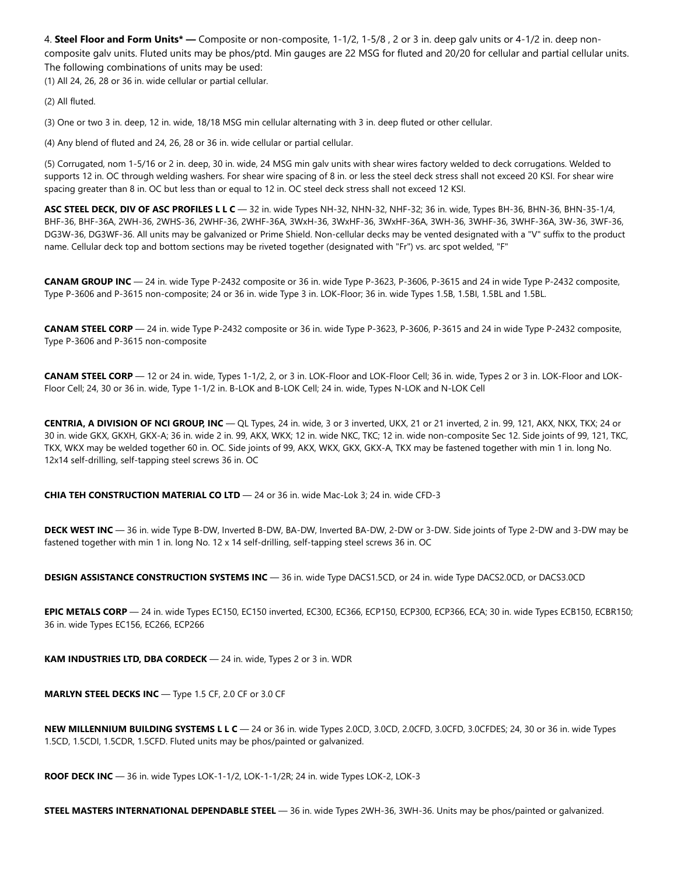4. **Steel Floor and Form Units\* —** Composite or non-composite, 1-1/2, 1-5/8 , 2 or 3 in. deep galv units or 4-1/2 in. deep noncomposite galv units. Fluted units may be phos/ptd. Min gauges are 22 MSG for fluted and 20/20 for cellular and partial cellular units. The following combinations of units may be used:

(1) All 24, 26, 28 or 36 in. wide cellular or partial cellular.

(2) All fluted.

(3) One or two 3 in. deep, 12 in. wide, 18/18 MSG min cellular alternating with 3 in. deep fluted or other cellular.

(4) Any blend of fluted and 24, 26, 28 or 36 in. wide cellular or partial cellular.

(5) Corrugated, nom 1-5/16 or 2 in. deep, 30 in. wide, 24 MSG min galv units with shear wires factory welded to deck corrugations. Welded to supports 12 in. OC through welding washers. For shear wire spacing of 8 in. or less the steel deck stress shall not exceed 20 KSI. For shear wire spacing greater than 8 in. OC but less than or equal to 12 in. OC steel deck stress shall not exceed 12 KSI.

**ASC STEEL DECK, DIV OF ASC PROFILES L L C** — 32 in. wide Types NH-32, NHN-32, NHF-32; 36 in. wide, Types BH-36, BHN-36, BHN-35-1/4, BHF-36, BHF-36A, 2WH-36, 2WHS-36, 2WHF-36, 2WHF-36A, 3WxH-36, 3WxHF-36, 3WxHF-36A, 3WH-36, 3WHF-36, 3WHF-36A, 3W-36, 3WF-36, DG3W-36, DG3WF-36. All units may be galvanized or Prime Shield. Non-cellular decks may be vented designated with a "V" suffix to the product name. Cellular deck top and bottom sections may be riveted together (designated with "Fr") vs. arc spot welded, "F"

**CANAM GROUP INC** — 24 in. wide Type P-2432 composite or 36 in. wide Type P-3623, P-3606, P-3615 and 24 in wide Type P-2432 composite, Type P-3606 and P-3615 non-composite; 24 or 36 in. wide Type 3 in. LOK-Floor; 36 in. wide Types 1.5B, 1.5BI, 1.5BL and 1.5BL.

**CANAM STEEL CORP** — 24 in. wide Type P-2432 composite or 36 in. wide Type P-3623, P-3606, P-3615 and 24 in wide Type P-2432 composite, Type P-3606 and P-3615 non-composite

**CANAM STEEL CORP** — 12 or 24 in. wide, Types 1-1/2, 2, or 3 in. LOK-Floor and LOK-Floor Cell; 36 in. wide, Types 2 or 3 in. LOK-Floor and LOK-Floor Cell; 24, 30 or 36 in. wide, Type 1-1/2 in. B-LOK and B-LOK Cell; 24 in. wide, Types N-LOK and N-LOK Cell

**CENTRIA, A DIVISION OF NCI GROUP, INC** — QL Types, 24 in. wide, 3 or 3 inverted, UKX, 21 or 21 inverted, 2 in. 99, 121, AKX, NKX, TKX; 24 or 30 in. wide GKX, GKXH, GKX-A; 36 in. wide 2 in. 99, AKX, WKX; 12 in. wide NKC, TKC; 12 in. wide non-composite Sec 12. Side joints of 99, 121, TKC, TKX, WKX may be welded together 60 in. OC. Side joints of 99, AKX, WKX, GKX, GKX-A, TKX may be fastened together with min 1 in. long No. 12x14 self-drilling, self-tapping steel screws 36 in. OC

**CHIA TEH CONSTRUCTION MATERIAL CO LTD** — 24 or 36 in. wide Mac-Lok 3; 24 in. wide CFD-3

**DECK WEST INC** — 36 in. wide Type B-DW, Inverted B-DW, BA-DW, Inverted BA-DW, 2-DW or 3-DW. Side joints of Type 2-DW and 3-DW may be fastened together with min 1 in. long No. 12 x 14 self-drilling, self-tapping steel screws 36 in. OC

**DESIGN ASSISTANCE CONSTRUCTION SYSTEMS INC** — 36 in. wide Type DACS1.5CD, or 24 in. wide Type DACS2.0CD, or DACS3.0CD

**EPIC METALS CORP** — 24 in. wide Types EC150, EC150 inverted, EC300, EC366, ECP150, ECP300, ECP366, ECA; 30 in. wide Types ECB150, ECBR150; 36 in. wide Types EC156, EC266, ECP266

**KAM INDUSTRIES LTD, DBA CORDECK** — 24 in. wide, Types 2 or 3 in. WDR

**MARLYN STEEL DECKS INC** — Type 1.5 CF, 2.0 CF or 3.0 CF

**NEW MILLENNIUM BUILDING SYSTEMS L L C** — 24 or 36 in. wide Types 2.0CD, 3.0CD, 2.0CFD, 3.0CFD, 3.0CFDES; 24, 30 or 36 in. wide Types 1.5CD, 1.5CDI, 1.5CDR, 1.5CFD. Fluted units may be phos/painted or galvanized.

**ROOF DECK INC** — 36 in. wide Types LOK-1-1/2, LOK-1-1/2R; 24 in. wide Types LOK-2, LOK-3

**STEEL MASTERS INTERNATIONAL DEPENDABLE STEEL** — 36 in. wide Types 2WH-36, 3WH-36. Units may be phos/painted or galvanized.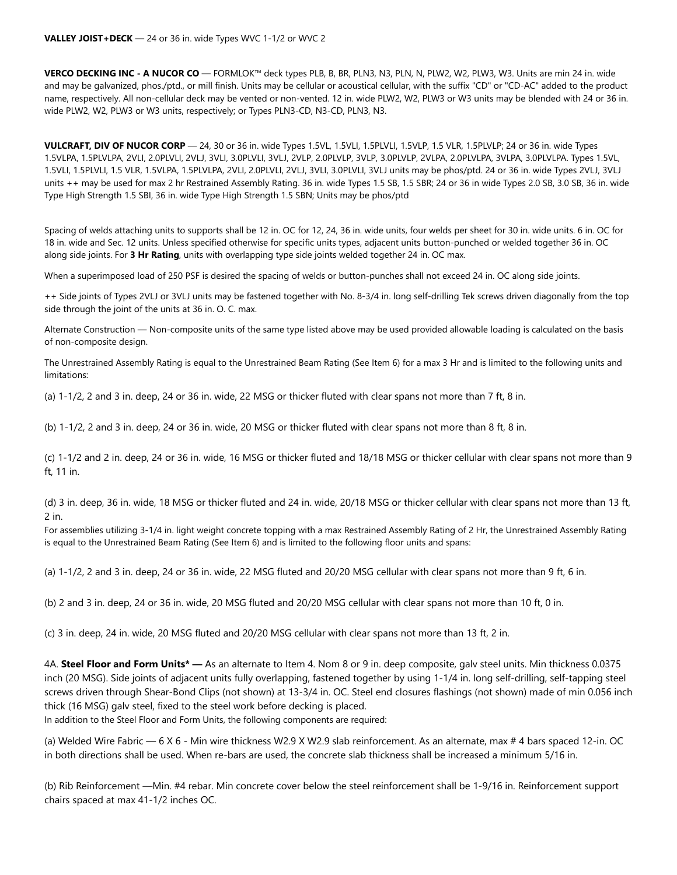**VERCO DECKING INC - A NUCOR CO** — FORMLOK™ deck types PLB, B, BR, PLN3, N3, PLN, N, PLW2, W2, PLW3, W3. Units are min 24 in. wide and may be galvanized, phos./ptd., or mill finish. Units may be cellular or acoustical cellular, with the suffix "CD" or "CD-AC" added to the product name, respectively. All non-cellular deck may be vented or non-vented. 12 in. wide PLW2, W2, PLW3 or W3 units may be blended with 24 or 36 in. wide PLW2, W2, PLW3 or W3 units, respectively; or Types PLN3-CD, N3-CD, PLN3, N3.

**VULCRAFT, DIV OF NUCOR CORP** — 24, 30 or 36 in. wide Types 1.5VL, 1.5VLI, 1.5PLVLI, 1.5VLP, 1.5 VLR, 1.5PLVLP; 24 or 36 in. wide Types 1.5VLPA, 1.5PLVLPA, 2VLI, 2.0PLVLI, 2VLJ, 3VLI, 3.0PLVLI, 3VLJ, 2VLP, 2.0PLVLP, 3VLP, 3.0PLVLP, 2VLPA, 2.0PLVLPA, 3VLPA, 3.0PLVLPA. Types 1.5VL, 1.5VLI, 1.5PLVLI, 1.5 VLR, 1.5VLPA, 1.5PLVLPA, 2VLI, 2.0PLVLI, 2VLJ, 3VLI, 3.0PLVLI, 3VLJ units may be phos/ptd. 24 or 36 in. wide Types 2VLJ, 3VLJ units ++ may be used for max 2 hr Restrained Assembly Rating. 36 in. wide Types 1.5 SB, 1.5 SBR; 24 or 36 in wide Types 2.0 SB, 3.0 SB, 36 in. wide Type High Strength 1.5 SBI, 36 in. wide Type High Strength 1.5 SBN; Units may be phos/ptd

Spacing of welds attaching units to supports shall be 12 in. OC for 12, 24, 36 in. wide units, four welds per sheet for 30 in. wide units. 6 in. OC for 18 in. wide and Sec. 12 units. Unless specified otherwise for specific units types, adjacent units button-punched or welded together 36 in. OC along side joints. For **3 Hr Rating**, units with overlapping type side joints welded together 24 in. OC max.

When a superimposed load of 250 PSF is desired the spacing of welds or button-punches shall not exceed 24 in. OC along side joints.

++ Side joints of Types 2VLJ or 3VLJ units may be fastened together with No. 8-3/4 in. long self-drilling Tek screws driven diagonally from the top side through the joint of the units at 36 in. O. C. max.

Alternate Construction — Non-composite units of the same type listed above may be used provided allowable loading is calculated on the basis of non-composite design.

The Unrestrained Assembly Rating is equal to the Unrestrained Beam Rating (See Item 6) for a max 3 Hr and is limited to the following units and limitations:

(a) 1-1/2, 2 and 3 in. deep, 24 or 36 in. wide, 22 MSG or thicker fluted with clear spans not more than 7 ft, 8 in.

(b) 1-1/2, 2 and 3 in. deep, 24 or 36 in. wide, 20 MSG or thicker fluted with clear spans not more than 8 ft, 8 in.

(c) 1-1/2 and 2 in. deep, 24 or 36 in. wide, 16 MSG or thicker fluted and 18/18 MSG or thicker cellular with clear spans not more than 9 ft, 11 in.

(d) 3 in. deep, 36 in. wide, 18 MSG or thicker fluted and 24 in. wide, 20/18 MSG or thicker cellular with clear spans not more than 13 ft, 2 in.

For assemblies utilizing 3-1/4 in. light weight concrete topping with a max Restrained Assembly Rating of 2 Hr, the Unrestrained Assembly Rating is equal to the Unrestrained Beam Rating (See Item 6) and is limited to the following floor units and spans:

(a) 1-1/2, 2 and 3 in. deep, 24 or 36 in. wide, 22 MSG fluted and 20/20 MSG cellular with clear spans not more than 9 ft, 6 in.

(b) 2 and 3 in. deep, 24 or 36 in. wide, 20 MSG fluted and 20/20 MSG cellular with clear spans not more than 10 ft, 0 in.

(c) 3 in. deep, 24 in. wide, 20 MSG fluted and 20/20 MSG cellular with clear spans not more than 13 ft, 2 in.

4A. **Steel Floor and Form Units\* —** As an alternate to Item 4. Nom 8 or 9 in. deep composite, galv steel units. Min thickness 0.0375 inch (20 MSG). Side joints of adjacent units fully overlapping, fastened together by using 1-1/4 in. long self-drilling, self-tapping steel screws driven through Shear-Bond Clips (not shown) at 13-3/4 in. OC. Steel end closures flashings (not shown) made of min 0.056 inch thick (16 MSG) galv steel, fixed to the steel work before decking is placed.

In addition to the Steel Floor and Form Units, the following components are required:

(a) Welded Wire Fabric — 6 X 6 - Min wire thickness W2.9 X W2.9 slab reinforcement. As an alternate, max # 4 bars spaced 12-in. OC in both directions shall be used. When re-bars are used, the concrete slab thickness shall be increased a minimum 5/16 in.

(b) Rib Reinforcement —Min. #4 rebar. Min concrete cover below the steel reinforcement shall be 1-9/16 in. Reinforcement support chairs spaced at max 41-1/2 inches OC.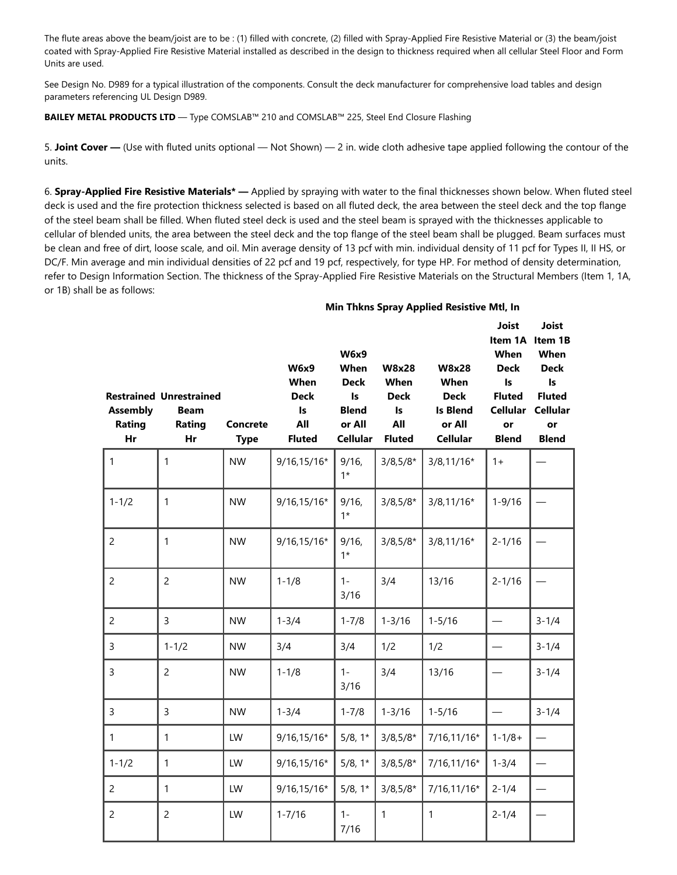The flute areas above the beam/joist are to be : (1) filled with concrete, (2) filled with Spray-Applied Fire Resistive Material or (3) the beam/joist coated with Spray-Applied Fire Resistive Material installed as described in the design to thickness required when all cellular Steel Floor and Form Units are used.

See Design No. D989 for a typical illustration of the components. Consult the deck manufacturer for comprehensive load tables and design parameters referencing UL Design D989.

#### **BAILEY METAL PRODUCTS LTD** — Type COMSLAB™ 210 and COMSLAB™ 225, Steel End Closure Flashing

5. **Joint Cover —** (Use with fluted units optional — Not Shown) — 2 in. wide cloth adhesive tape applied following the contour of the units.

6. **Spray-Applied Fire Resistive Materials\* —** Applied by spraying with water to the final thicknesses shown below. When fluted steel deck is used and the fire protection thickness selected is based on all fluted deck, the area between the steel deck and the top flange of the steel beam shall be filled. When fluted steel deck is used and the steel beam is sprayed with the thicknesses applicable to cellular of blended units, the area between the steel deck and the top flange of the steel beam shall be plugged. Beam surfaces must be clean and free of dirt, loose scale, and oil. Min average density of 13 pcf with min. individual density of 11 pcf for Types II, II HS, or DC/F. Min average and min individual densities of 22 pcf and 19 pcf, respectively, for type HP. For method of density determination, refer to Design Information Section. The thickness of the Spray-Applied Fire Resistive Materials on the Structural Members (Item 1, 1A, or 1B) shall be as follows:

#### **Min Thkns Spray Applied Resistive Mtl, In**

| <b>Assembly</b><br>Rating<br>Hr | <b>Restrained Unrestrained</b><br><b>Beam</b><br>Rating<br>Hr | <b>Concrete</b><br><b>Type</b> | <b>W6x9</b><br>When<br><b>Deck</b><br>Is<br>All<br><b>Fluted</b> | <b>W6x9</b><br>When<br><b>Deck</b><br>Is<br><b>Blend</b><br>or All<br><b>Cellular</b> | <b>W8x28</b><br>When<br><b>Deck</b><br>Is<br>All<br><b>Fluted</b> | <b>W8x28</b><br>When<br><b>Deck</b><br><b>Is Blend</b><br>or All<br><b>Cellular</b> | <b>Joist</b><br>When<br><b>Deck</b><br>Is.<br><b>Fluted</b><br>or<br><b>Blend</b> | Joist<br>Item 1A Item 1B<br>When<br><b>Deck</b><br>ls.<br><b>Fluted</b><br>Cellular Cellular<br>or<br><b>Blend</b> |
|---------------------------------|---------------------------------------------------------------|--------------------------------|------------------------------------------------------------------|---------------------------------------------------------------------------------------|-------------------------------------------------------------------|-------------------------------------------------------------------------------------|-----------------------------------------------------------------------------------|--------------------------------------------------------------------------------------------------------------------|
| $\mathbf{1}$                    | 1                                                             | <b>NW</b>                      | 9/16,15/16*                                                      | $9/16$ ,<br>$1*$                                                                      | $3/8,5/8*$                                                        | $3/8, 11/16*$                                                                       | $1+$                                                                              |                                                                                                                    |
| $1 - 1/2$                       | $\mathbf{1}$                                                  | <b>NW</b>                      | 9/16,15/16*                                                      | 9/16,<br>$1*$                                                                         | $3/8,5/8*$                                                        | $3/8, 11/16*$                                                                       | $1 - 9/16$                                                                        |                                                                                                                    |
| $\overline{2}$                  | 1                                                             | <b>NW</b>                      | 9/16,15/16*                                                      | 9/16,<br>$1*$                                                                         | $3/8,5/8*$                                                        | $3/8, 11/16*$                                                                       | $2 - 1/16$                                                                        |                                                                                                                    |
| $\overline{2}$                  | $\overline{2}$                                                | <b>NW</b>                      | $1 - 1/8$                                                        | $1 -$<br>3/16                                                                         | 3/4                                                               | 13/16                                                                               | $2 - 1/16$                                                                        |                                                                                                                    |
| $\overline{2}$                  | $\overline{3}$                                                | <b>NW</b>                      | $1 - 3/4$                                                        | $1 - 7/8$                                                                             | $1 - 3/16$                                                        | $1 - 5/16$                                                                          |                                                                                   | $3 - 1/4$                                                                                                          |
| 3                               | $1 - 1/2$                                                     | <b>NW</b>                      | 3/4                                                              | 3/4                                                                                   | 1/2                                                               | 1/2                                                                                 |                                                                                   | $3 - 1/4$                                                                                                          |
| 3                               | $\overline{2}$                                                | <b>NW</b>                      | $1 - 1/8$                                                        | $1 -$<br>3/16                                                                         | 3/4                                                               | 13/16                                                                               |                                                                                   | $3 - 1/4$                                                                                                          |
| $\overline{3}$                  | $\overline{3}$                                                | <b>NW</b>                      | $1 - 3/4$                                                        | $1 - 7/8$                                                                             | $1 - 3/16$                                                        | $1 - 5/16$                                                                          |                                                                                   | $3 - 1/4$                                                                                                          |
| $\mathbf{1}$                    | 1                                                             | LW                             | $9/16, 15/16*$                                                   | $5/8, 1*$                                                                             | $3/8,5/8*$                                                        | 7/16,11/16*                                                                         | $1 - 1/8 +$                                                                       |                                                                                                                    |
| $1 - 1/2$                       | $\mathbf{1}$                                                  | LW                             | $9/16, 15/16*$                                                   | $5/8, 1*$                                                                             | $3/8,5/8*$                                                        | 7/16,11/16*                                                                         | $1 - 3/4$                                                                         |                                                                                                                    |
| $\overline{2}$                  | 1                                                             | LW                             | $9/16, 15/16*$                                                   | $5/8, 1*$                                                                             | $3/8,5/8*$                                                        | 7/16,11/16*                                                                         | $2 - 1/4$                                                                         |                                                                                                                    |
| $\overline{c}$                  | $\overline{c}$                                                | LW                             | $1 - 7/16$                                                       | $1 -$<br>7/16                                                                         | $\mathbf{1}$                                                      | $\mathbf{1}$                                                                        | $2 - 1/4$                                                                         |                                                                                                                    |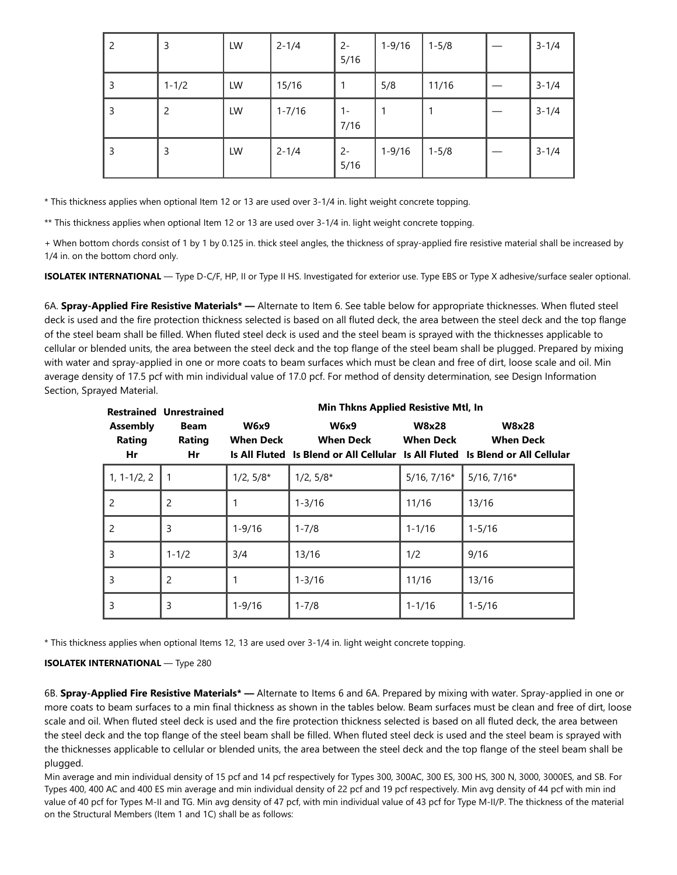| 2 | 3              | LW | $2 - 1/4$  | $2 -$<br>5/16 | $1 - 9/16$ | $1 - 5/8$ | $3 - 1/4$ |
|---|----------------|----|------------|---------------|------------|-----------|-----------|
| 3 | $1 - 1/2$      | LW | 15/16      |               | 5/8        | 11/16     | $3 - 1/4$ |
| 3 | $\overline{c}$ | LW | $1 - 7/16$ | $1 -$<br>7/16 |            |           | $3 - 1/4$ |
| 3 | 3              | LW | $2 - 1/4$  | $2 -$<br>5/16 | $1 - 9/16$ | $1 - 5/8$ | $3 - 1/4$ |

\* This thickness applies when optional Item 12 or 13 are used over 3-1/4 in. light weight concrete topping.

\*\* This thickness applies when optional Item 12 or 13 are used over 3-1/4 in. light weight concrete topping.

+ When bottom chords consist of 1 by 1 by 0.125 in. thick steel angles, the thickness of spray-applied fire resistive material shall be increased by 1/4 in. on the bottom chord only.

**ISOLATEK INTERNATIONAL** — Type D-C/F, HP, II or Type II HS. Investigated for exterior use. Type EBS or Type X adhesive/surface sealer optional.

6A. **Spray-Applied Fire Resistive Materials\* —** Alternate to Item 6. See table below for appropriate thicknesses. When fluted steel deck is used and the fire protection thickness selected is based on all fluted deck, the area between the steel deck and the top flange of the steel beam shall be filled. When fluted steel deck is used and the steel beam is sprayed with the thicknesses applicable to cellular or blended units, the area between the steel deck and the top flange of the steel beam shall be plugged. Prepared by mixing with water and spray-applied in one or more coats to beam surfaces which must be clean and free of dirt, loose scale and oil. Min average density of 17.5 pcf with min individual value of 17.0 pcf. For method of density determination, see Design Information Section, Sprayed Material.

|                                 | <b>Restrained Unrestrained</b> |                                 | Min Thkns Applied Resistive Mtl, In                                                                              |                                  |                                  |  |  |  |  |  |  |
|---------------------------------|--------------------------------|---------------------------------|------------------------------------------------------------------------------------------------------------------|----------------------------------|----------------------------------|--|--|--|--|--|--|
| <b>Assembly</b><br>Rating<br>Hr | Beam<br>Rating<br>Hr           | <b>W6x9</b><br><b>When Deck</b> | <b>W6x9</b><br><b>When Deck</b><br>Is All Fluted Is Blend or All Cellular Is All Fluted Is Blend or All Cellular | <b>W8x28</b><br><b>When Deck</b> | <b>W8x28</b><br><b>When Deck</b> |  |  |  |  |  |  |
| $1, 1 - 1/2, 2$                 |                                | $1/2, 5/8*$                     | $1/2, 5/8*$                                                                                                      | $5/16$ , $7/16*$                 | $5/16$ , $7/16*$                 |  |  |  |  |  |  |
| 2                               | $\overline{2}$                 |                                 | $1 - 3/16$                                                                                                       | 11/16                            | 13/16                            |  |  |  |  |  |  |
| 2                               | 3                              | $1 - 9/16$                      | $1 - 7/8$                                                                                                        | $1 - 1/16$                       | $1 - 5/16$                       |  |  |  |  |  |  |
| 3                               | $1 - 1/2$                      | 3/4                             | 13/16                                                                                                            | 1/2                              | 9/16                             |  |  |  |  |  |  |
| 3                               | $\overline{2}$                 | 1                               | $1 - 3/16$                                                                                                       | 11/16                            | 13/16                            |  |  |  |  |  |  |
| 3                               | 3                              | $1 - 9/16$                      | $1 - 7/8$                                                                                                        | $1 - 1/16$                       | $1 - 5/16$                       |  |  |  |  |  |  |

\* This thickness applies when optional Items 12, 13 are used over 3-1/4 in. light weight concrete topping.

#### **ISOLATEK INTERNATIONAL** — Type 280

6B. **Spray-Applied Fire Resistive Materials\* —** Alternate to Items 6 and 6A. Prepared by mixing with water. Spray-applied in one or more coats to beam surfaces to a min final thickness as shown in the tables below. Beam surfaces must be clean and free of dirt, loose scale and oil. When fluted steel deck is used and the fire protection thickness selected is based on all fluted deck, the area between the steel deck and the top flange of the steel beam shall be filled. When fluted steel deck is used and the steel beam is sprayed with the thicknesses applicable to cellular or blended units, the area between the steel deck and the top flange of the steel beam shall be plugged.

Min average and min individual density of 15 pcf and 14 pcf respectively for Types 300, 300AC, 300 ES, 300 HS, 300 N, 3000, 3000ES, and SB. For Types 400, 400 AC and 400 ES min average and min individual density of 22 pcf and 19 pcf respectively. Min avg density of 44 pcf with min ind value of 40 pcf for Types M-II and TG. Min avg density of 47 pcf, with min individual value of 43 pcf for Type M-II/P. The thickness of the material on the Structural Members (Item 1 and 1C) shall be as follows: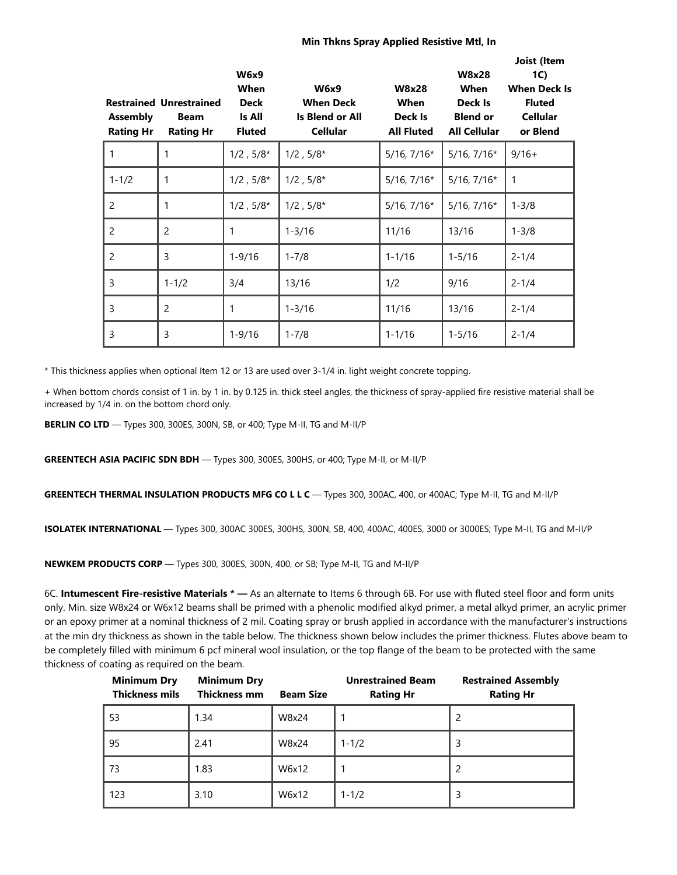#### **Min Thkns Spray Applied Resistive Mtl, In**

| <b>Assembly</b><br><b>Rating Hr</b> | <b>Restrained Unrestrained</b><br><b>Beam</b><br><b>Rating Hr</b> | <b>W6x9</b><br>When<br><b>Deck</b><br>Is All<br><b>Fluted</b> | <b>W6x9</b><br><b>When Deck</b><br>Is Blend or All<br><b>Cellular</b> | <b>W8x28</b><br>When<br>Deck Is<br><b>All Fluted</b> | <b>W8x28</b><br>When<br>Deck Is<br><b>Blend or</b><br><b>All Cellular</b> | Joist (Item<br>1C)<br><b>When Deck Is</b><br><b>Fluted</b><br><b>Cellular</b><br>or Blend |
|-------------------------------------|-------------------------------------------------------------------|---------------------------------------------------------------|-----------------------------------------------------------------------|------------------------------------------------------|---------------------------------------------------------------------------|-------------------------------------------------------------------------------------------|
| $\mathbf{1}$                        |                                                                   | $1/2$ , $5/8*$                                                | $1/2$ , $5/8*$                                                        | $5/16$ , $7/16*$                                     | $5/16$ , $7/16*$                                                          | $9/16+$                                                                                   |
| $1 - 1/2$                           | 1                                                                 | $1/2$ , $5/8^{\star}$                                         | $1/2$ , $5/8*$                                                        | $5/16$ , $7/16*$                                     | $5/16$ , $7/16*$                                                          | $\mathbf{1}$                                                                              |
| $\overline{2}$                      | 1                                                                 | $1/2$ , $5/8*$                                                | $1/2$ , $5/8*$                                                        | $5/16$ , $7/16*$                                     | $5/16$ , $7/16*$                                                          | $1 - 3/8$                                                                                 |
| 2                                   | 2                                                                 | 1                                                             | $1 - 3/16$                                                            | 11/16                                                | 13/16                                                                     | $1 - 3/8$                                                                                 |
| 2                                   | 3                                                                 | $1 - 9/16$                                                    | $1 - 7/8$                                                             | $1 - 1/16$                                           | $1 - 5/16$                                                                | $2 - 1/4$                                                                                 |
| 3                                   | $1 - 1/2$                                                         | 3/4                                                           | 13/16                                                                 | 1/2                                                  | 9/16                                                                      | $2 - 1/4$                                                                                 |
| 3                                   | 2                                                                 | 1                                                             | $1 - 3/16$                                                            | 11/16                                                | 13/16                                                                     | $2 - 1/4$                                                                                 |
| 3                                   | 3                                                                 | $1 - 9/16$                                                    | $1 - 7/8$                                                             | $1 - 1/16$                                           | $1 - 5/16$                                                                | $2 - 1/4$                                                                                 |

\* This thickness applies when optional Item 12 or 13 are used over 3-1/4 in. light weight concrete topping.

+ When bottom chords consist of 1 in. by 1 in. by 0.125 in. thick steel angles, the thickness of spray-applied fire resistive material shall be increased by 1/4 in. on the bottom chord only.

**BERLIN CO LTD** — Types 300, 300ES, 300N, SB, or 400; Type M-II, TG and M-II/P

**GREENTECH ASIA PACIFIC SDN BDH** — Types 300, 300ES, 300HS, or 400; Type M-II, or M-II/P

**GREENTECH THERMAL INSULATION PRODUCTS MFG CO L L C** — Types 300, 300AC, 400, or 400AC; Type M-II, TG and M-II/P

**ISOLATEK INTERNATIONAL** — Types 300, 300AC 300ES, 300HS, 300N, SB, 400, 400AC, 400ES, 3000 or 3000ES; Type M-II, TG and M-II/P

**NEWKEM PRODUCTS CORP** — Types 300, 300ES, 300N, 400, or SB; Type M-II, TG and M-II/P

6C. **Intumescent Fire-resistive Materials \* —** As an alternate to Items 6 through 6B. For use with fluted steel floor and form units only. Min. size W8x24 or W6x12 beams shall be primed with a phenolic modified alkyd primer, a metal alkyd primer, an acrylic primer or an epoxy primer at a nominal thickness of 2 mil. Coating spray or brush applied in accordance with the manufacturer's instructions at the min dry thickness as shown in the table below. The thickness shown below includes the primer thickness. Flutes above beam to be completely filled with minimum 6 pcf mineral wool insulation, or the top flange of the beam to be protected with the same thickness of coating as required on the beam.

| <b>Minimum Dry</b><br><b>Thickness mils</b> | <b>Minimum Dry</b><br>Thickness mm | <b>Beam Size</b> | <b>Unrestrained Beam</b><br><b>Rating Hr</b> | <b>Restrained Assembly</b><br><b>Rating Hr</b> |
|---------------------------------------------|------------------------------------|------------------|----------------------------------------------|------------------------------------------------|
| 53                                          | 1.34                               | W8x24            |                                              | 2                                              |
| 95                                          | 2.41                               | W8x24            | $1 - 1/2$                                    | 3                                              |
| 73                                          | 1.83                               | W6x12            |                                              | 2                                              |
| 123                                         | 3.10                               | W6x12            | $1 - 1/2$                                    | 3                                              |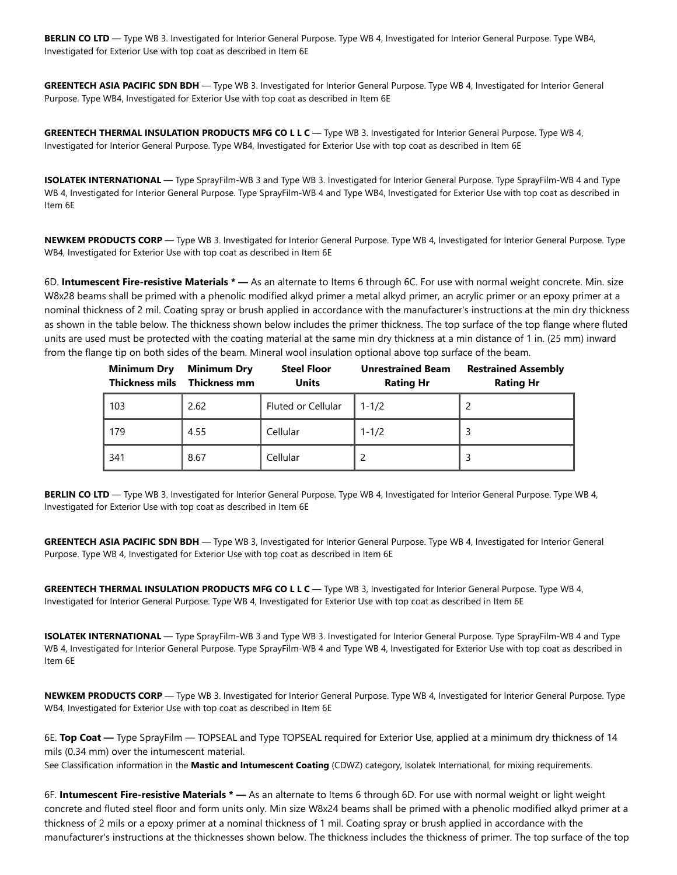**BERLIN CO LTD** — Type WB 3. Investigated for Interior General Purpose. Type WB 4, Investigated for Interior General Purpose. Type WB4, Investigated for Exterior Use with top coat as described in Item 6E

**GREENTECH ASIA PACIFIC SDN BDH** — Type WB 3. Investigated for Interior General Purpose. Type WB 4, Investigated for Interior General Purpose. Type WB4, Investigated for Exterior Use with top coat as described in Item 6E

**GREENTECH THERMAL INSULATION PRODUCTS MFG CO L L C** — Type WB 3. Investigated for Interior General Purpose. Type WB 4, Investigated for Interior General Purpose. Type WB4, Investigated for Exterior Use with top coat as described in Item 6E

**ISOLATEK INTERNATIONAL** — Type SprayFilm-WB 3 and Type WB 3. Investigated for Interior General Purpose. Type SprayFilm-WB 4 and Type WB 4, Investigated for Interior General Purpose. Type SprayFilm-WB 4 and Type WB4, Investigated for Exterior Use with top coat as described in Item 6E

**NEWKEM PRODUCTS CORP** — Type WB 3. Investigated for Interior General Purpose. Type WB 4, Investigated for Interior General Purpose. Type WB4, Investigated for Exterior Use with top coat as described in Item 6E

6D. **Intumescent Fire-resistive Materials \* —** As an alternate to Items 6 through 6C. For use with normal weight concrete. Min. size W8x28 beams shall be primed with a phenolic modified alkyd primer a metal alkyd primer, an acrylic primer or an epoxy primer at a nominal thickness of 2 mil. Coating spray or brush applied in accordance with the manufacturer's instructions at the min dry thickness as shown in the table below. The thickness shown below includes the primer thickness. The top surface of the top flange where fluted units are used must be protected with the coating material at the same min dry thickness at a min distance of 1 in. (25 mm) inward from the flange tip on both sides of the beam. Mineral wool insulation optional above top surface of the beam.

| <b>Minimum Dry</b><br><b>Thickness mils</b> | <b>Minimum Dry</b><br>Thickness mm | <b>Steel Floor</b><br><b>Units</b> | <b>Unrestrained Beam</b><br><b>Rating Hr</b> | <b>Restrained Assembly</b><br><b>Rating Hr</b> |
|---------------------------------------------|------------------------------------|------------------------------------|----------------------------------------------|------------------------------------------------|
| 103                                         | 2.62                               | Fluted or Cellular                 | $1 - 1/2$                                    |                                                |
| 179                                         | 4.55                               | Cellular                           | $1 - 1/2$                                    |                                                |
| 341                                         | 8.67                               | Cellular                           |                                              |                                                |

**BERLIN CO LTD** — Type WB 3. Investigated for Interior General Purpose. Type WB 4, Investigated for Interior General Purpose. Type WB 4, Investigated for Exterior Use with top coat as described in Item 6E

**GREENTECH ASIA PACIFIC SDN BDH** — Type WB 3, Investigated for Interior General Purpose. Type WB 4, Investigated for Interior General Purpose. Type WB 4, Investigated for Exterior Use with top coat as described in Item 6E

**GREENTECH THERMAL INSULATION PRODUCTS MFG CO L L C** — Type WB 3, Investigated for Interior General Purpose. Type WB 4, Investigated for Interior General Purpose. Type WB 4, Investigated for Exterior Use with top coat as described in Item 6E

**ISOLATEK INTERNATIONAL** — Type SprayFilm-WB 3 and Type WB 3. Investigated for Interior General Purpose. Type SprayFilm-WB 4 and Type WB 4, Investigated for Interior General Purpose. Type SprayFilm-WB 4 and Type WB 4, Investigated for Exterior Use with top coat as described in Item 6E

**NEWKEM PRODUCTS CORP** — Type WB 3. Investigated for Interior General Purpose. Type WB 4, Investigated for Interior General Purpose. Type WB4, Investigated for Exterior Use with top coat as described in Item 6E

6E. **Top Coat —** Type SprayFilm — TOPSEAL and Type TOPSEAL required for Exterior Use, applied at a minimum dry thickness of 14 mils (0.34 mm) over the intumescent material.

See Classification information in the **Mastic and Intumescent Coating** (CDWZ) category, Isolatek International, for mixing requirements.

6F. **Intumescent Fire-resistive Materials \* —** As an alternate to Items 6 through 6D. For use with normal weight or light weight concrete and fluted steel floor and form units only. Min size W8x24 beams shall be primed with a phenolic modified alkyd primer at a thickness of 2 mils or a epoxy primer at a nominal thickness of 1 mil. Coating spray or brush applied in accordance with the manufacturer's instructions at the thicknesses shown below. The thickness includes the thickness of primer. The top surface of the top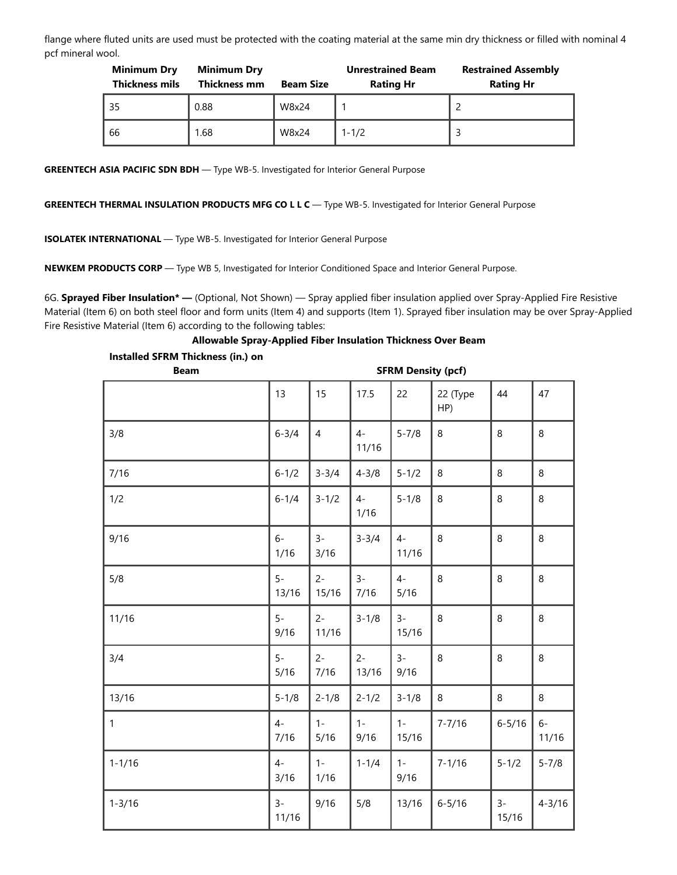flange where fluted units are used must be protected with the coating material at the same min dry thickness or filled with nominal 4 pcf mineral wool.

| <b>Minimum Dry</b><br><b>Thickness mils</b> | <b>Minimum Dry</b><br>Thickness mm | <b>Beam Size</b> | <b>Unrestrained Beam</b><br><b>Rating Hr</b> | <b>Restrained Assembly</b><br><b>Rating Hr</b> |
|---------------------------------------------|------------------------------------|------------------|----------------------------------------------|------------------------------------------------|
| 35                                          | 0.88                               | W8x24            |                                              |                                                |
| 66                                          | 1.68                               | W8x24            | $1 - 1/2$                                    |                                                |

**GREENTECH ASIA PACIFIC SDN BDH** — Type WB-5. Investigated for Interior General Purpose

**GREENTECH THERMAL INSULATION PRODUCTS MFG CO L L C** — Type WB-5. Investigated for Interior General Purpose

**ISOLATEK INTERNATIONAL** — Type WB-5. Investigated for Interior General Purpose

**NEWKEM PRODUCTS CORP** — Type WB 5, Investigated for Interior Conditioned Space and Interior General Purpose.

6G. **Sprayed Fiber Insulation\* —** (Optional, Not Shown) — Spray applied fiber insulation applied over Spray-Applied Fire Resistive Material (Item 6) on both steel floor and form units (Item 4) and supports (Item 1). Sprayed fiber insulation may be over Spray-Applied Fire Resistive Material (Item 6) according to the following tables:

**Allowable Spray-Applied Fiber Insulation Thickness Over Beam**

| Installed SFRM Thickness (in.) on<br><b>Beam</b> | <b>SFRM Density (pcf)</b> |                |                |                |                 |                |               |  |
|--------------------------------------------------|---------------------------|----------------|----------------|----------------|-----------------|----------------|---------------|--|
|                                                  |                           |                |                |                |                 |                |               |  |
|                                                  | 13                        | 15             | 17.5           | 22             | 22 (Type<br>HP) | 44             | 47            |  |
| 3/8                                              | $6 - 3/4$                 | $\overline{4}$ | $4-$<br>11/16  | $5 - 7/8$      | 8               | 8              | $\,8\,$       |  |
| 7/16                                             | $6 - 1/2$                 | $3 - 3/4$      | $4 - 3/8$      | $5 - 1/2$      | $\,8\,$         | 8              | 8             |  |
| 1/2                                              | $6 - 1/4$                 | $3 - 1/2$      | $4-$<br>1/16   | $5 - 1/8$      | 8               | 8              | $\,8\,$       |  |
| 9/16                                             | $6-$<br>1/16              | $3-$<br>3/16   | $3 - 3/4$      | $4-$<br>11/16  | 8               | 8              | $\,8\,$       |  |
| 5/8                                              | $5-$<br>13/16             | $2 -$<br>15/16 | $3-$<br>7/16   | $4-$<br>5/16   | 8               | 8              | $\,8\,$       |  |
| 11/16                                            | $5-$<br>9/16              | $2 -$<br>11/16 | $3 - 1/8$      | $3-$<br>15/16  | 8               | 8              | 8             |  |
| 3/4                                              | $5-$<br>5/16              | $2 -$<br>7/16  | $2 -$<br>13/16 | $3-$<br>9/16   | 8               | 8              | 8             |  |
| 13/16                                            | $5 - 1/8$                 | $2 - 1/8$      | $2 - 1/2$      | $3 - 1/8$      | 8               | 8              | 8             |  |
| $\mathbf{1}$                                     | $4-$<br>7/16              | $1 -$<br>5/16  | $1 -$<br>9/16  | $1 -$<br>15/16 | $7 - 7/16$      | $6 - 5/16$     | $6-$<br>11/16 |  |
| $1 - 1/16$                                       | $4-$<br>3/16              | $1 -$<br>1/16  | $1 - 1/4$      | $1 -$<br>9/16  | $7 - 1/16$      | $5 - 1/2$      | $5 - 7/8$     |  |
| $1 - 3/16$                                       | $3-$<br>11/16             | 9/16           | 5/8            | 13/16          | $6 - 5/16$      | $3 -$<br>15/16 | $4 - 3/16$    |  |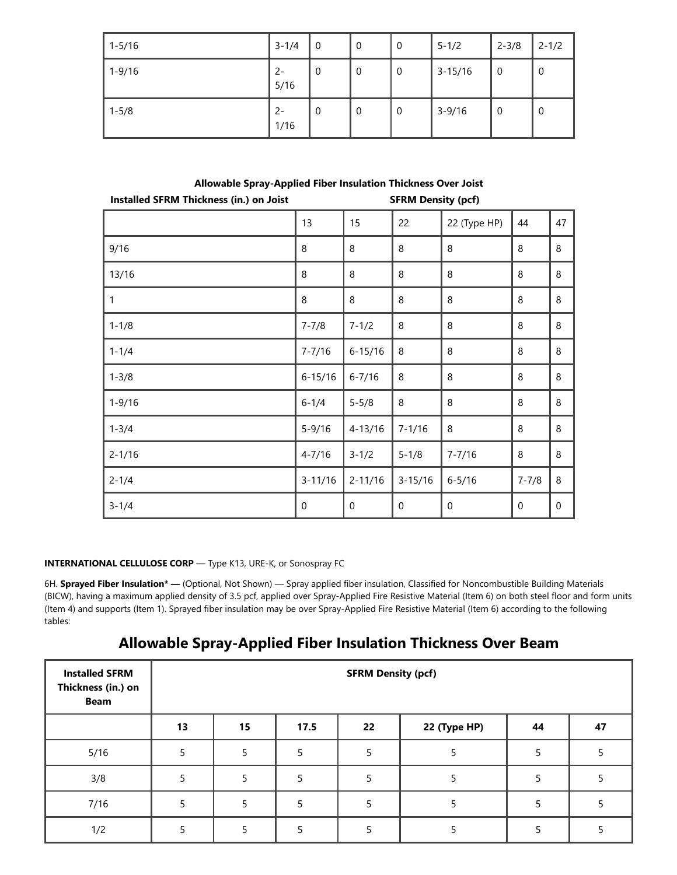| $1 - 5/16$ | $3 - 1/4$     | $\overline{0}$ | 0           | 0 | $5 - 1/2$   | $2 - 3/8$ | $2 - 1/2$   |
|------------|---------------|----------------|-------------|---|-------------|-----------|-------------|
| $1 - 9/16$ | $2 -$<br>5/16 | - 0            | $\mathbf 0$ | 0 | $3 - 15/16$ | - 0       | 0           |
| $1 - 5/8$  | $2 -$<br>1/16 | - 0            | $\mathbf 0$ | 0 | $3 - 9/16$  | - 0       | $\mathbf 0$ |

**Allowable Spray-Applied Fiber Insulation Thickness Over Joist**

| <b>Installed SFRM Thickness (in.) on Joist</b> | <b>SFRM Density (pcf)</b> |             |             |              |           |         |
|------------------------------------------------|---------------------------|-------------|-------------|--------------|-----------|---------|
|                                                | 13                        | 15          | 22          | 22 (Type HP) | 44        | 47      |
| 9/16                                           | 8                         | 8           | 8           | 8            | 8         | $\,8\,$ |
| 13/16                                          | 8                         | 8           | 8           | 8            | $\,8\,$   | $\,8\,$ |
| 1                                              | 8                         | 8           | 8           | 8            | $\,8\,$   | $\,8\,$ |
| $1 - 1/8$                                      | $7 - 7/8$                 | $7 - 1/2$   | 8           | 8            | 8         | $\,8\,$ |
| $1 - 1/4$                                      | $7 - 7/16$                | $6 - 15/16$ | 8           | 8            | 8         | 8       |
| $1 - 3/8$                                      | $6 - 15/16$               | $6 - 7/16$  | 8           | 8            | 8         | 8       |
| $1 - 9/16$                                     | $6 - 1/4$                 | $5 - 5/8$   | 8           | 8            | 8         | 8       |
| $1 - 3/4$                                      | $5 - 9/16$                | $4 - 13/16$ | $7 - 1/16$  | 8            | 8         | 8       |
| $2 - 1/16$                                     | $4 - 7/16$                | $3 - 1/2$   | $5 - 1/8$   | $7 - 7/16$   | 8         | 8       |
| $2 - 1/4$                                      | $3 - 11/16$               | $2 - 11/16$ | $3 - 15/16$ | $6 - 5/16$   | $7 - 7/8$ | 8       |
| $3 - 1/4$                                      | 0                         | 0           | $\mathbf 0$ | 0            | 0         | 0       |

#### **INTERNATIONAL CELLULOSE CORP** — Type K13, URE-K, or Sonospray FC

6H. **Sprayed Fiber Insulation\* —** (Optional, Not Shown) — Spray applied fiber insulation, Classified for Noncombustible Building Materials (BICW), having a maximum applied density of 3.5 pcf, applied over Spray-Applied Fire Resistive Material (Item 6) on both steel floor and form units (Item 4) and supports (Item 1). Sprayed fiber insulation may be over Spray-Applied Fire Resistive Material (Item 6) according to the following tables:

**Allowable Spray-Applied Fiber Insulation Thickness Over Beam**

| <b>Installed SFRM</b><br>Thickness (in.) on<br><b>Beam</b> | <b>SFRM Density (pcf)</b> |    |      |    |              |    |    |  |  |
|------------------------------------------------------------|---------------------------|----|------|----|--------------|----|----|--|--|
|                                                            | 13                        | 15 | 17.5 | 22 | 22 (Type HP) | 44 | 47 |  |  |
| 5/16                                                       |                           | 5  | 5    |    |              |    |    |  |  |
| 3/8                                                        |                           |    |      |    |              |    |    |  |  |
| 7/16                                                       |                           |    |      |    |              |    |    |  |  |
| 1/2                                                        |                           |    |      |    |              |    |    |  |  |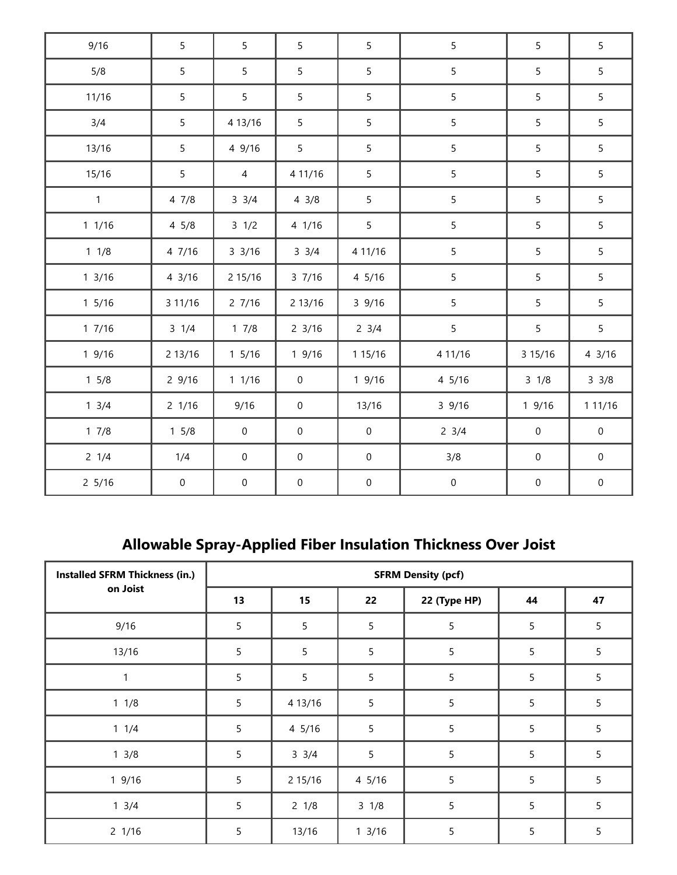| 9/16             | 5               | 5                | 5                | 5                | 5                | 5                | 5                   |
|------------------|-----------------|------------------|------------------|------------------|------------------|------------------|---------------------|
| 5/8              | 5               | 5                | 5                | 5                | 5                | 5                | 5                   |
| 11/16            | 5               | 5 <sup>1</sup>   | 5                | 5                | 5                | 5                | 5                   |
| 3/4              | 5               | 4 13/16          | 5                | 5                | 5                | 5                | 5                   |
| 13/16            | 5               | 4 9/16           | 5                | 5                | 5                | 5                | 5                   |
| 15/16            | 5               | $\overline{4}$   | 4 11/16          | 5                | 5                | 5                | 5                   |
| $\mathbf{1}$     | 47/8            | $3 \frac{3}{4}$  | $4 \frac{3}{8}$  | 5                | 5                | 5                | 5                   |
| 11/16            | $4\frac{5}{8}$  | $3 \frac{1}{2}$  | 4 1/16           | 5                | 5                | 5                | 5                   |
| $1 \t1/8$        | 4 7/16          | $3 \frac{3}{16}$ | $3 \frac{3}{4}$  | 4 11/16          | 5                | 5                | 5                   |
| $1 \frac{3}{16}$ | 43/16           | 2 15/16          | 37/16            | 4 5/16           | 5                | 5                | 5                   |
| $1\,5/16$        | 3 11/16         | 27/16            | 2 13/16          | 39/16            | $\overline{5}$   | 5                | 5                   |
| 17/16            | $3 \frac{1}{4}$ | 17/8             | $2 \frac{3}{16}$ | $2 \frac{3}{4}$  | 5                | 5                | 5                   |
| 19/16            | 2 13/16         | $1\,5/16$        | 19/16            | 1 15/16          | 4 11/16          | 3 15/16          | 43/16               |
| $1 \frac{5}{8}$  | 29/16           | 11/16            | $\mathbf 0$      | 19/16            | 4 5/16           | $3 \frac{1}{8}$  | $3 \frac{3}{8}$     |
| $1 \frac{3}{4}$  | 2 1/16          | 9/16             | $\mathbf 0$      | 13/16            | 39/16            | 19/16            | 1 11/16             |
| 17/8             | $1 \frac{5}{8}$ | $\boldsymbol{0}$ | $\mathbf 0$      | $\mathbf 0$      | $2 \frac{3}{4}$  | $\boldsymbol{0}$ | $\mathsf{O}\xspace$ |
| $2 \frac{1}{4}$  | 1/4             | $\mathbf 0$      | $\mathbf 0$      | $\boldsymbol{0}$ | 3/8              | $\mathbf 0$      | $\boldsymbol{0}$    |
| $2\frac{5}{16}$  | $\mathbf 0$     | $\mathbf 0$      | $\mathbf 0$      | $\pmb{0}$        | $\boldsymbol{0}$ | $\boldsymbol{0}$ | $\mathbf 0$         |

## **Allowable Spray-Applied Fiber Insulation Thickness Over Joist**

| <b>Installed SFRM Thickness (in.)</b> | <b>SFRM Density (pcf)</b> |                 |                  |              |                 |                |  |
|---------------------------------------|---------------------------|-----------------|------------------|--------------|-----------------|----------------|--|
| on Joist                              | 13                        | 15              | 22               | 22 (Type HP) | 44              | 47             |  |
| 9/16                                  | 5                         | 5               | 5                | 5            | $5\phantom{.0}$ | 5              |  |
| 13/16                                 | $\overline{5}$            | 5               | 5                | 5            | $\sqrt{5}$      | $\overline{5}$ |  |
| 1                                     | 5                         | 5               | 5                | 5            | 5               | 5              |  |
| $1 \t1/8$                             | 5                         | 4 13/16         | 5                | 5            | 5               | 5              |  |
| $1 \t1/4$                             | $\overline{5}$            | 4 5/16          | 5                | 5            | 5               | $\overline{5}$ |  |
| $1 \frac{3}{8}$                       | 5                         | $3 \frac{3}{4}$ | 5                | 5            | 5               | 5              |  |
| 19/16                                 | 5                         | 2 15/16         | $4\frac{5}{16}$  | 5            | 5               | 5              |  |
| $1 \frac{3}{4}$                       | 5                         | $2 \frac{1}{8}$ | $3 \frac{1}{8}$  | 5            | 5               | $\overline{5}$ |  |
| $2 \frac{1}{16}$                      | 5                         | 13/16           | $1 \frac{3}{16}$ | 5            | 5               | 5              |  |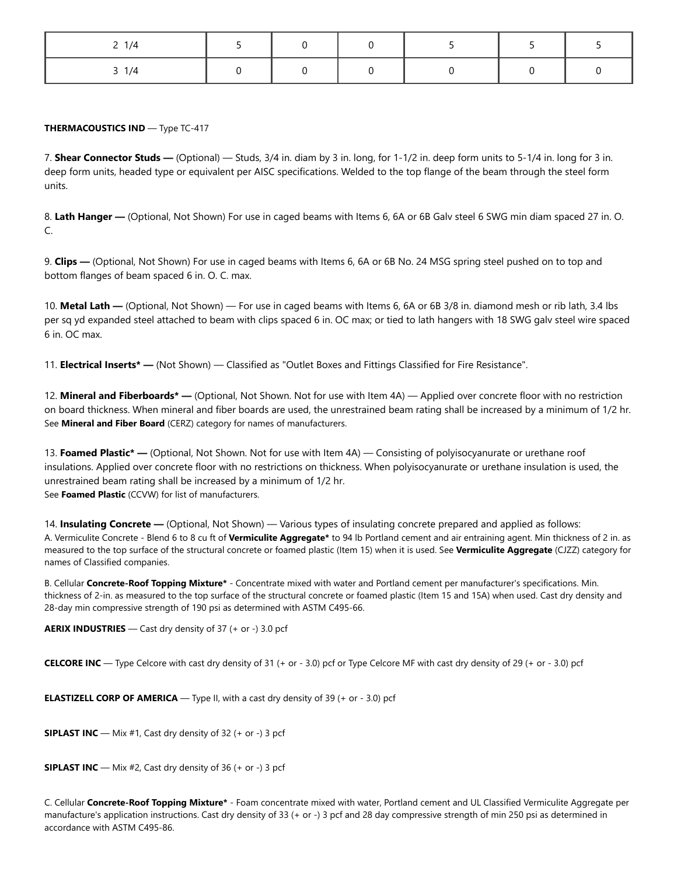| 1/4<br><u>_</u> |  |  |  |
|-----------------|--|--|--|
| $\overline{4}$  |  |  |  |

#### **THERMACOUSTICS IND** — Type TC-417

7. **Shear Connector Studs —** (Optional) — Studs, 3/4 in. diam by 3 in. long, for 1-1/2 in. deep form units to 5-1/4 in. long for 3 in. deep form units, headed type or equivalent per AISC specifications. Welded to the top flange of the beam through the steel form units.

8. **Lath Hanger —** (Optional, Not Shown) For use in caged beams with Items 6, 6A or 6B Galv steel 6 SWG min diam spaced 27 in. O. C.

9. **Clips —** (Optional, Not Shown) For use in caged beams with Items 6, 6A or 6B No. 24 MSG spring steel pushed on to top and bottom flanges of beam spaced 6 in. O. C. max.

10. **Metal Lath —** (Optional, Not Shown) — For use in caged beams with Items 6, 6A or 6B 3/8 in. diamond mesh or rib lath, 3.4 lbs per sq yd expanded steel attached to beam with clips spaced 6 in. OC max; or tied to lath hangers with 18 SWG galv steel wire spaced 6 in. OC max.

11. **Electrical Inserts\* —** (Not Shown) — Classified as "Outlet Boxes and Fittings Classified for Fire Resistance".

12. **Mineral and Fiberboards\* —** (Optional, Not Shown. Not for use with Item 4A) — Applied over concrete floor with no restriction on board thickness. When mineral and fiber boards are used, the unrestrained beam rating shall be increased by a minimum of 1/2 hr. See **Mineral and Fiber Board** (CERZ) category for names of manufacturers.

13. **Foamed Plastic\* —** (Optional, Not Shown. Not for use with Item 4A) — Consisting of polyisocyanurate or urethane roof insulations. Applied over concrete floor with no restrictions on thickness. When polyisocyanurate or urethane insulation is used, the unrestrained beam rating shall be increased by a minimum of 1/2 hr. See **Foamed Plastic** (CCVW) for list of manufacturers.

14. **Insulating Concrete —** (Optional, Not Shown) — Various types of insulating concrete prepared and applied as follows: A. Vermiculite Concrete - Blend 6 to 8 cu ft of **Vermiculite Aggregate\*** to 94 lb Portland cement and air entraining agent. Min thickness of 2 in. as measured to the top surface of the structural concrete or foamed plastic (Item 15) when it is used. See **Vermiculite Aggregate** (CJZZ) category for names of Classified companies.

B. Cellular **Concrete-Roof Topping Mixture\*** - Concentrate mixed with water and Portland cement per manufacturer's specifications. Min. thickness of 2-in. as measured to the top surface of the structural concrete or foamed plastic (Item 15 and 15A) when used. Cast dry density and 28-day min compressive strength of 190 psi as determined with ASTM C495-66.

**AERIX INDUSTRIES** — Cast dry density of 37 (+ or -) 3.0 pcf

**CELCORE INC** — Type Celcore with cast dry density of 31 (+ or - 3.0) pcf or Type Celcore MF with cast dry density of 29 (+ or - 3.0) pcf

**ELASTIZELL CORP OF AMERICA** — Type II, with a cast dry density of 39 (+ or - 3.0) pcf

**SIPLAST INC** — Mix #1, Cast dry density of 32 (+ or -) 3 pcf

**SIPLAST INC** — Mix #2, Cast dry density of 36 (+ or -) 3 pcf

C. Cellular **Concrete-Roof Topping Mixture\*** - Foam concentrate mixed with water, Portland cement and UL Classified Vermiculite Aggregate per manufacture's application instructions. Cast dry density of 33 (+ or -) 3 pcf and 28 day compressive strength of min 250 psi as determined in accordance with ASTM C495-86.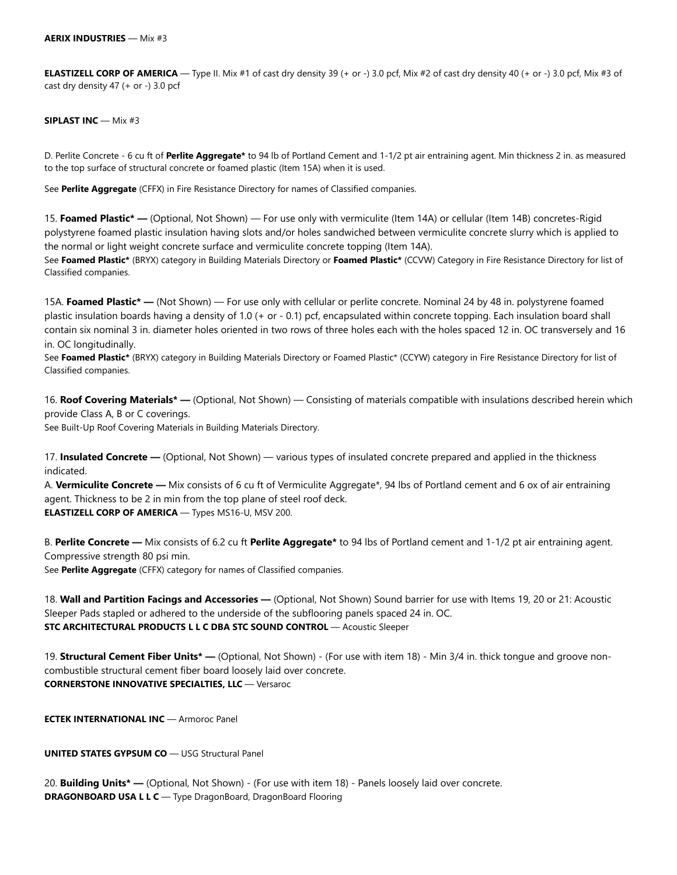**ELASTIZELL CORP OF AMERICA** — Type II. Mix #1 of cast dry density 39 (+ or -) 3.0 pcf, Mix #2 of cast dry density 40 (+ or -) 3.0 pcf, Mix #3 of cast dry density 47 (+ or -) 3.0 pcf

#### **SIPLAST INC** — Mix #3

D. Perlite Concrete - 6 cu ft of **Perlite Aggregate\*** to 94 lb of Portland Cement and 1-1/2 pt air entraining agent. Min thickness 2 in. as measured to the top surface of structural concrete or foamed plastic (Item 15A) when it is used.

See **Perlite Aggregate** (CFFX) in Fire Resistance Directory for names of Classified companies.

15. **Foamed Plastic\* —** (Optional, Not Shown) — For use only with vermiculite (Item 14A) or cellular (Item 14B) concretes-Rigid polystyrene foamed plastic insulation having slots and/or holes sandwiched between vermiculite concrete slurry which is applied to the normal or light weight concrete surface and vermiculite concrete topping (Item 14A).

See **Foamed Plastic\*** (BRYX) category in Building Materials Directory or **Foamed Plastic\*** (CCVW) Category in Fire Resistance Directory for list of Classified companies.

15A. **Foamed Plastic\* —** (Not Shown) — For use only with cellular or perlite concrete. Nominal 24 by 48 in. polystyrene foamed plastic insulation boards having a density of 1.0 (+ or - 0.1) pcf, encapsulated within concrete topping. Each insulation board shall contain six nominal 3 in. diameter holes oriented in two rows of three holes each with the holes spaced 12 in. OC transversely and 16 in. OC longitudinally.

See **Foamed Plastic\*** (BRYX) category in Building Materials Directory or Foamed Plastic\* (CCYW) category in Fire Resistance Directory for list of Classified companies.

16. **Roof Covering Materials\* —** (Optional, Not Shown) — Consisting of materials compatible with insulations described herein which provide Class A, B or C coverings.

See Built-Up Roof Covering Materials in Building Materials Directory.

17. **Insulated Concrete —** (Optional, Not Shown) — various types of insulated concrete prepared and applied in the thickness indicated.

A. **Vermiculite Concrete —** Mix consists of 6 cu ft of Vermiculite Aggregate\*, 94 lbs of Portland cement and 6 ox of air entraining agent. Thickness to be 2 in min from the top plane of steel roof deck. **ELASTIZELL CORP OF AMERICA** — Types MS16-U, MSV 200.

B. **Perlite Concrete —** Mix consists of 6.2 cu ft **Perlite Aggregate\*** to 94 lbs of Portland cement and 1-1/2 pt air entraining agent. Compressive strength 80 psi min.

See **Perlite Aggregate** (CFFX) category for names of Classified companies.

18. **Wall and Partition Facings and Accessories —** (Optional, Not Shown) Sound barrier for use with Items 19, 20 or 21: Acoustic Sleeper Pads stapled or adhered to the underside of the subflooring panels spaced 24 in. OC. **STC ARCHITECTURAL PRODUCTS L L C DBA STC SOUND CONTROL** — Acoustic Sleeper

19. **Structural Cement Fiber Units\* —** (Optional, Not Shown) - (For use with item 18) - Min 3/4 in. thick tongue and groove noncombustible structural cement fiber board loosely laid over concrete. **CORNERSTONE INNOVATIVE SPECIALTIES, LLC** — Versaroc

**ECTEK INTERNATIONAL INC** — Armoroc Panel

**UNITED STATES GYPSUM CO** — USG Structural Panel

20. **Building Units\* —** (Optional, Not Shown) - (For use with item 18) - Panels loosely laid over concrete. **DRAGONBOARD USA L L C** — Type DragonBoard, DragonBoard Flooring